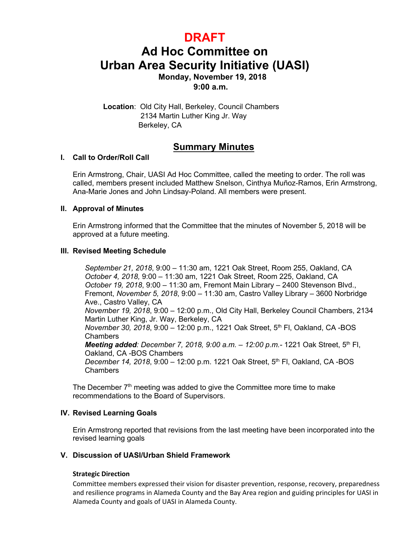# **DRAFT**

# **Ad Hoc Committee on Urban Area Security Initiative (UASI) Monday, November 19, 2018**

**9:00 a.m.**

 **Location**: Old City Hall, Berkeley, Council Chambers 2134 Martin Luther King Jr. Way Berkeley, CA astro Valley, CA 94546

# **Summary Minutes**

#### **I. Call to Order/Roll Call**

Erin Armstrong, Chair, UASI Ad Hoc Committee, called the meeting to order. The roll was called, members present included Matthew Snelson, Cinthya Muñoz-Ramos, Erin Armstrong, Ana-Marie Jones and John Lindsay-Poland. All members were present.

#### **II. Approval of Minutes**

Erin Armstrong informed that the Committee that the minutes of November 5, 2018 will be approved at a future meeting.

#### **III. Revised Meeting Schedule**

*September 21, 2018*, 9:00 – 11:30 am, 1221 Oak Street, Room 255, Oakland, CA *October 4, 2018,* 9:00 – 11:30 am, 1221 Oak Street, Room 225, Oakland, CA *October 19, 2018*, 9:00 – 11:30 am, Fremont Main Library – 2400 Stevenson Blvd., Fremont, *November 5, 2018*, 9:00 – 11:30 am, Castro Valley Library – 3600 Norbridge Ave., Castro Valley, CA *November 19, 2018*, 9:00 – 12:00 p.m., Old City Hall, Berkeley Council Chambers, 2134 Martin Luther King, Jr. Way, Berkeley, CA *November 30, 2018*, 9:00 – 12:00 p.m., 1221 Oak Street, 5th Fl, Oakland, CA -BOS **Chambers** *Meeting added: December 7, 2018, 9:00 a.m. – 12:00 p.m.-* 1221 Oak Street, 5th Fl, Oakland, CA -BOS Chambers *December 14, 2018*, 9:00 – 12:00 p.m. 1221 Oak Street, 5th Fl, Oakland, CA -BOS Chambers

The December  $7<sup>th</sup>$  meeting was added to give the Committee more time to make recommendations to the Board of Supervisors.

# **IV. Revised Learning Goals**

Erin Armstrong reported that revisions from the last meeting have been incorporated into the revised learning goals

#### **V. Discussion of UASI/Urban Shield Framework**

#### **Strategic Direction**

Committee members expressed their vision for disaster prevention, response, recovery, preparedness and resilience programs in Alameda County and the Bay Area region and guiding principles for UASI in Alameda County and goals of UASI in Alameda County.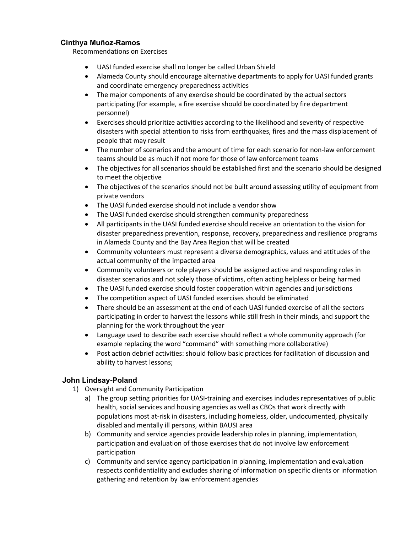#### **Cinthya Muñoz-Ramos**

Recommendations on Exercises

- UASI funded exercise shall no longer be called Urban Shield
- Alameda County should encourage alternative departments to apply for UASI funded grants and coordinate emergency preparedness activities
- The major components of any exercise should be coordinated by the actual sectors participating (for example, a fire exercise should be coordinated by fire department personnel)
- Exercises should prioritize activities according to the likelihood and severity of respective disasters with special attention to risks from earthquakes, fires and the mass displacement of people that may result
- The number of scenarios and the amount of time for each scenario for non-law enforcement teams should be as much if not more for those of law enforcement teams
- The objectives for all scenarios should be established first and the scenario should be designed to meet the objective
- The objectives of the scenarios should not be built around assessing utility of equipment from private vendors
- The UASI funded exercise should not include a vendor show
- The UASI funded exercise should strengthen community preparedness
- All participants in the UASI funded exercise should receive an orientation to the vision for disaster preparedness prevention, response, recovery, preparedness and resilience programs in Alameda County and the Bay Area Region that will be created
- Community volunteers must represent a diverse demographics, values and attitudes of the actual community of the impacted area
- Community volunteers or role players should be assigned active and responding roles in disaster scenarios and not solely those of victims, often acting helpless or being harmed
- The UASI funded exercise should foster cooperation within agencies and jurisdictions
- The competition aspect of UASI funded exercises should be eliminated
- There should be an assessment at the end of each UASI funded exercise of all the sectors participating in order to harvest the lessons while still fresh in their minds, and support the planning for the work throughout the year
- Language used to describe each exercise should reflect a whole community approach (for example replacing the word "command" with something more collaborative)
- Post action debrief activities: should follow basic practices for facilitation of discussion and ability to harvest lessons;

# **John Lindsay-Poland**

- 1) Oversight and Community Participation
	- a) The group setting priorities for UASI-training and exercises includes representatives of public health, social services and housing agencies as well as CBOs that work directly with populations most at-risk in disasters, including homeless, older, undocumented, physically disabled and mentally ill persons, within BAUSI area
	- b) Community and service agencies provide leadership roles in planning, implementation, participation and evaluation of those exercises that do not involve law enforcement participation
	- c) Community and service agency participation in planning, implementation and evaluation respects confidentiality and excludes sharing of information on specific clients or information gathering and retention by law enforcement agencies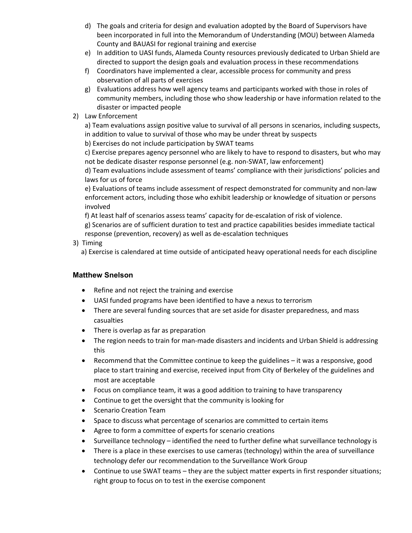- d) The goals and criteria for design and evaluation adopted by the Board of Supervisors have been incorporated in full into the Memorandum of Understanding (MOU) between Alameda County and BAUASI for regional training and exercise
- e) In addition to UASI funds, Alameda County resources previously dedicated to Urban Shield are directed to support the design goals and evaluation process in these recommendations
- f) Coordinators have implemented a clear, accessible process for community and press observation of all parts of exercises
- g) Evaluations address how well agency teams and participants worked with those in roles of community members, including those who show leadership or have information related to the disaster or impacted people
- 2) Law Enforcement

a) Team evaluations assign positive value to survival of all persons in scenarios, including suspects, in addition to value to survival of those who may be under threat by suspects

b) Exercises do not include participation by SWAT teams

c) Exercise prepares agency personnel who are likely to have to respond to disasters, but who may not be dedicate disaster response personnel (e.g. non-SWAT, law enforcement)

d) Team evaluations include assessment of teams' compliance with their jurisdictions' policies and laws for us of force

e) Evaluations of teams include assessment of respect demonstrated for community and non-law enforcement actors, including those who exhibit leadership or knowledge of situation or persons involved

f) At least half of scenarios assess teams' capacity for de-escalation of risk of violence.

g) Scenarios are of sufficient duration to test and practice capabilities besides immediate tactical response (prevention, recovery) as well as de-escalation techniques

3) Timing

a) Exercise is calendared at time outside of anticipated heavy operational needs for each discipline

# **Matthew Snelson**

- Refine and not reject the training and exercise
- UASI funded programs have been identified to have a nexus to terrorism
- There are several funding sources that are set aside for disaster preparedness, and mass casualties
- There is overlap as far as preparation
- The region needs to train for man-made disasters and incidents and Urban Shield is addressing this
- Recommend that the Committee continue to keep the guidelines it was a responsive, good place to start training and exercise, received input from City of Berkeley of the guidelines and most are acceptable
- Focus on compliance team, it was a good addition to training to have transparency
- Continue to get the oversight that the community is looking for
- Scenario Creation Team
- Space to discuss what percentage of scenarios are committed to certain items
- Agree to form a committee of experts for scenario creations
- Surveillance technology identified the need to further define what surveillance technology is
- There is a place in these exercises to use cameras (technology) within the area of surveillance technology defer our recommendation to the Surveillance Work Group
- Continue to use SWAT teams they are the subject matter experts in first responder situations; right group to focus on to test in the exercise component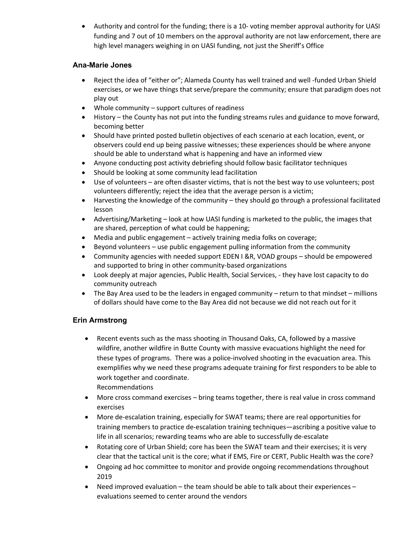• Authority and control for the funding; there is a 10- voting member approval authority for UASI funding and 7 out of 10 members on the approval authority are not law enforcement, there are high level managers weighing in on UASI funding, not just the Sheriff's Office

#### **Ana-Marie Jones**

- Reject the idea of "either or"; Alameda County has well trained and well -funded Urban Shield exercises, or we have things that serve/prepare the community; ensure that paradigm does not play out
- Whole community support cultures of readiness
- History the County has not put into the funding streams rules and guidance to move forward, becoming better
- Should have printed posted bulletin objectives of each scenario at each location, event, or observers could end up being passive witnesses; these experiences should be where anyone should be able to understand what is happening and have an informed view
- Anyone conducting post activity debriefing should follow basic facilitator techniques
- Should be looking at some community lead facilitation
- Use of volunteers are often disaster victims, that is not the best way to use volunteers; post volunteers differently; reject the idea that the average person is a victim;
- Harvesting the knowledge of the community they should go through a professional facilitated lesson
- Advertising/Marketing look at how UASI funding is marketed to the public, the images that are shared, perception of what could be happening;
- Media and public engagement actively training media folks on coverage;
- Beyond volunteers use public engagement pulling information from the community
- Community agencies with needed support EDEN I &R, VOAD groups should be empowered and supported to bring in other community-based organizations
- Look deeply at major agencies, Public Health, Social Services, they have lost capacity to do community outreach
- The Bay Area used to be the leaders in engaged community return to that mindset millions of dollars should have come to the Bay Area did not because we did not reach out for it

# **Erin Armstrong**

- Recent events such as the mass shooting in Thousand Oaks, CA, followed by a massive wildfire, another wildfire in Butte County with massive evacuations highlight the need for these types of programs. There was a police-involved shooting in the evacuation area. This exemplifies why we need these programs adequate training for first responders to be able to work together and coordinate. Recommendations
- More cross command exercises bring teams together, there is real value in cross command exercises
- More de-escalation training, especially for SWAT teams; there are real opportunities for training members to practice de-escalation training techniques—ascribing a positive value to life in all scenarios; rewarding teams who are able to successfully de-escalate
- Rotating core of Urban Shield; core has been the SWAT team and their exercises; it is very clear that the tactical unit is the core; what if EMS, Fire or CERT, Public Health was the core?
- Ongoing ad hoc committee to monitor and provide ongoing recommendations throughout 2019
- Need improved evaluation the team should be able to talk about their experiences evaluations seemed to center around the vendors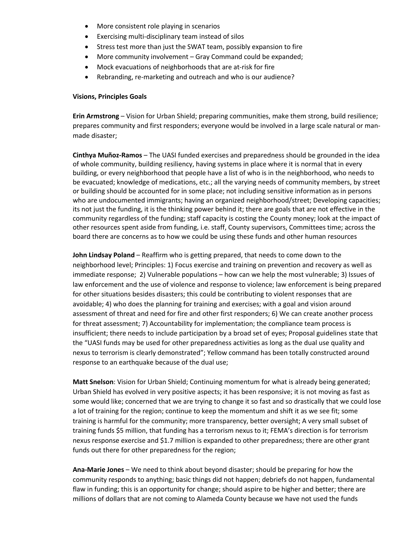- More consistent role playing in scenarios
- Exercising multi-disciplinary team instead of silos
- Stress test more than just the SWAT team, possibly expansion to fire
- More community involvement Gray Command could be expanded;
- Mock evacuations of neighborhoods that are at-risk for fire
- Rebranding, re-marketing and outreach and who is our audience?

#### **Visions, Principles Goals**

**Erin Armstrong** – Vision for Urban Shield; preparing communities, make them strong, build resilience; prepares community and first responders; everyone would be involved in a large scale natural or manmade disaster;

**Cinthya Muñoz-Ramos** – The UASI funded exercises and preparedness should be grounded in the idea of whole community, building resiliency, having systems in place where it is normal that in every building, or every neighborhood that people have a list of who is in the neighborhood, who needs to be evacuated; knowledge of medications, etc.; all the varying needs of community members, by street or building should be accounted for in some place; not including sensitive information as in persons who are undocumented immigrants; having an organized neighborhood/street; Developing capacities; its not just the funding, it is the thinking power behind it; there are goals that are not effective in the community regardless of the funding; staff capacity is costing the County money; look at the impact of other resources spent aside from funding, i.e. staff, County supervisors, Committees time; across the board there are concerns as to how we could be using these funds and other human resources

**John Lindsay Poland** – Reaffirm who is getting prepared, that needs to come down to the neighborhood level; Principles: 1) Focus exercise and training on prevention and recovery as well as immediate response; 2) Vulnerable populations – how can we help the most vulnerable; 3) Issues of law enforcement and the use of violence and response to violence; law enforcement is being prepared for other situations besides disasters; this could be contributing to violent responses that are avoidable; 4) who does the planning for training and exercises; with a goal and vision around assessment of threat and need for fire and other first responders; 6) We can create another process for threat assessment; 7) Accountability for implementation; the compliance team process is insufficient; there needs to include participation by a broad set of eyes; Proposal guidelines state that the "UASI funds may be used for other preparedness activities as long as the dual use quality and nexus to terrorism is clearly demonstrated"; Yellow command has been totally constructed around response to an earthquake because of the dual use;

**Matt Snelson**: Vision for Urban Shield; Continuing momentum for what is already being generated; Urban Shield has evolved in very positive aspects; it has been responsive; it is not moving as fast as some would like; concerned that we are trying to change it so fast and so drastically that we could lose a lot of training for the region; continue to keep the momentum and shift it as we see fit; some training is harmful for the community; more transparency, better oversight; A very small subset of training funds \$5 million, that funding has a terrorism nexus to it; FEMA's direction is for terrorism nexus response exercise and \$1.7 million is expanded to other preparedness; there are other grant funds out there for other preparedness for the region;

**Ana-Marie Jones** – We need to think about beyond disaster; should be preparing for how the community responds to anything; basic things did not happen; debriefs do not happen, fundamental flaw in funding; this is an opportunity for change; should aspire to be higher and better; there are millions of dollars that are not coming to Alameda County because we have not used the funds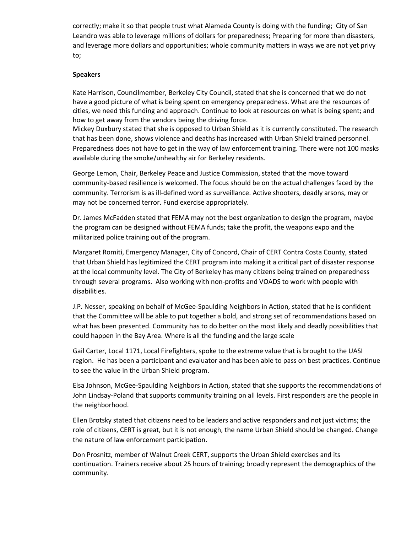correctly; make it so that people trust what Alameda County is doing with the funding; City of San Leandro was able to leverage millions of dollars for preparedness; Preparing for more than disasters, and leverage more dollars and opportunities; whole community matters in ways we are not yet privy to;

#### **Speakers**

Kate Harrison, Councilmember, Berkeley City Council, stated that she is concerned that we do not have a good picture of what is being spent on emergency preparedness. What are the resources of cities, we need this funding and approach. Continue to look at resources on what is being spent; and how to get away from the vendors being the driving force.

Mickey Duxbury stated that she is opposed to Urban Shield as it is currently constituted. The research that has been done, shows violence and deaths has increased with Urban Shield trained personnel. Preparedness does not have to get in the way of law enforcement training. There were not 100 masks available during the smoke/unhealthy air for Berkeley residents.

George Lemon, Chair, Berkeley Peace and Justice Commission, stated that the move toward community-based resilience is welcomed. The focus should be on the actual challenges faced by the community. Terrorism is as ill-defined word as surveillance. Active shooters, deadly arsons, may or may not be concerned terror. Fund exercise appropriately.

Dr. James McFadden stated that FEMA may not the best organization to design the program, maybe the program can be designed without FEMA funds; take the profit, the weapons expo and the militarized police training out of the program.

Margaret Romiti, Emergency Manager, City of Concord, Chair of CERT Contra Costa County, stated that Urban Shield has legitimized the CERT program into making it a critical part of disaster response at the local community level. The City of Berkeley has many citizens being trained on preparedness through several programs. Also working with non-profits and VOADS to work with people with disabilities.

J.P. Nesser, speaking on behalf of McGee-Spaulding Neighbors in Action, stated that he is confident that the Committee will be able to put together a bold, and strong set of recommendations based on what has been presented. Community has to do better on the most likely and deadly possibilities that could happen in the Bay Area. Where is all the funding and the large scale

Gail Carter, Local 1171, Local Firefighters, spoke to the extreme value that is brought to the UASI region. He has been a participant and evaluator and has been able to pass on best practices. Continue to see the value in the Urban Shield program.

Elsa Johnson, McGee-Spaulding Neighbors in Action, stated that she supports the recommendations of John Lindsay-Poland that supports community training on all levels. First responders are the people in the neighborhood.

Ellen Brotsky stated that citizens need to be leaders and active responders and not just victims; the role of citizens, CERT is great, but it is not enough, the name Urban Shield should be changed. Change the nature of law enforcement participation.

Don Prosnitz, member of Walnut Creek CERT, supports the Urban Shield exercises and its continuation. Trainers receive about 25 hours of training; broadly represent the demographics of the community.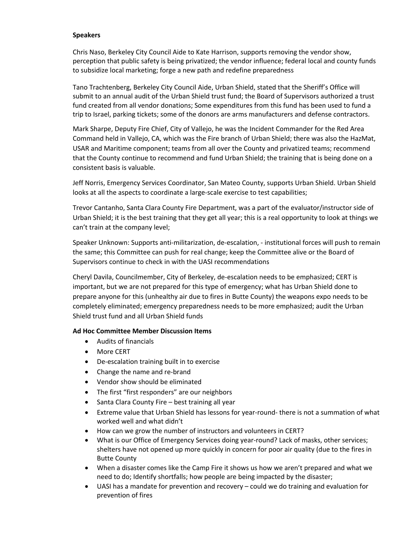#### **Speakers**

Chris Naso, Berkeley City Council Aide to Kate Harrison, supports removing the vendor show, perception that public safety is being privatized; the vendor influence; federal local and county funds to subsidize local marketing; forge a new path and redefine preparedness

Tano Trachtenberg, Berkeley City Council Aide, Urban Shield, stated that the Sheriff's Office will submit to an annual audit of the Urban Shield trust fund; the Board of Supervisors authorized a trust fund created from all vendor donations; Some expenditures from this fund has been used to fund a trip to Israel, parking tickets; some of the donors are arms manufacturers and defense contractors.

Mark Sharpe, Deputy Fire Chief, City of Vallejo, he was the Incident Commander for the Red Area Command held in Vallejo, CA, which was the Fire branch of Urban Shield; there was also the HazMat, USAR and Maritime component; teams from all over the County and privatized teams; recommend that the County continue to recommend and fund Urban Shield; the training that is being done on a consistent basis is valuable.

Jeff Norris, Emergency Services Coordinator, San Mateo County, supports Urban Shield. Urban Shield looks at all the aspects to coordinate a large-scale exercise to test capabilities;

Trevor Cantanho, Santa Clara County Fire Department, was a part of the evaluator/instructor side of Urban Shield; it is the best training that they get all year; this is a real opportunity to look at things we can't train at the company level;

Speaker Unknown: Supports anti-militarization, de-escalation, - institutional forces will push to remain the same; this Committee can push for real change; keep the Committee alive or the Board of Supervisors continue to check in with the UASI recommendations

Cheryl Davila, Councilmember, City of Berkeley, de-escalation needs to be emphasized; CERT is important, but we are not prepared for this type of emergency; what has Urban Shield done to prepare anyone for this (unhealthy air due to fires in Butte County) the weapons expo needs to be completely eliminated; emergency preparedness needs to be more emphasized; audit the Urban Shield trust fund and all Urban Shield funds

#### **Ad Hoc Committee Member Discussion Items**

- Audits of financials
- More CERT
- De-escalation training built in to exercise
- Change the name and re-brand
- Vendor show should be eliminated
- The first "first responders" are our neighbors
- Santa Clara County Fire best training all year
- Extreme value that Urban Shield has lessons for year-round- there is not a summation of what worked well and what didn't
- How can we grow the number of instructors and volunteers in CERT?
- What is our Office of Emergency Services doing year-round? Lack of masks, other services; shelters have not opened up more quickly in concern for poor air quality (due to the fires in Butte County
- When a disaster comes like the Camp Fire it shows us how we aren't prepared and what we need to do; Identify shortfalls; how people are being impacted by the disaster;
- UASI has a mandate for prevention and recovery could we do training and evaluation for prevention of fires